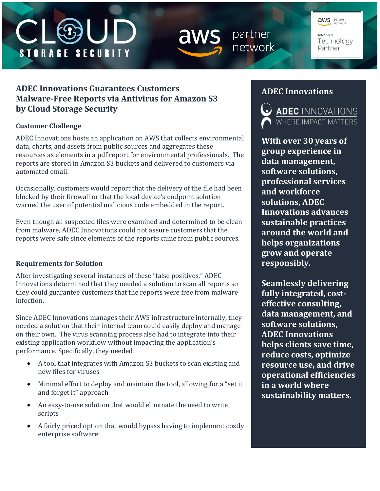# **STORAGE SECURITY**



partner network

**aws** partner Advanced Technology Partner

# **ADEC Innovations Guarantees Customers Malware-Free Reports via Antivirus for Amazon S3 by Cloud Storage Security**

## **Customer Challenge**

ADEC Innovations hosts an application on AWS that collects environmental data, charts, and assets from public sources and aggregates these resources as elements in a pdf report for environmental professionals. The reports are stored in Amazon S3 buckets and delivered to customers via automated email.

Occasionally, customers would report that the delivery of the file had been blocked by their firewall or that the local device's endpoint solution warned the user of potential malicious code embedded in the report.

Even though all suspected files were examined and determined to be clean from malware, ADEC Innovations could not assure customers that the reports were safe since elements of the reports came from public sources.

## **Requirements for Solution**

After investigating several instances of these "false positives," ADEC Innovations determined that they needed a solution to scan all reports so they could guarantee customers that the reports were free from malware infection.

Since ADEC Innovations manages their AWS infrastructure internally, they needed a solution that their internal team could easily deploy and manage on their own. The virus scanning process also had to integrate into their existing application workflow without impacting the application's performance. Specifically, they needed:

- A tool that integrates with Amazon S3 buckets to scan existing and new files for viruses
- Minimal effort to deploy and maintain the tool, allowing for a "set it and forget it" approach
- An easy-to-use solution that would eliminate the need to write scripts
- A fairly priced option that would bypass having to implement costly enterprise software

## **ADEC Innovations**



**With over 30 years of group experience in data management, software solutions, professional services and workforce solutions, ADEC Innovations advances sustainable practices around the world and helps organizations grow and operate responsibly.** 

**Seamlessly delivering fully integrated, costeffective consulting, data management, and software solutions, ADEC Innovations helps clients save time, reduce costs, optimize resource use, and drive operational efficiencies in a world where sustainability matters.**